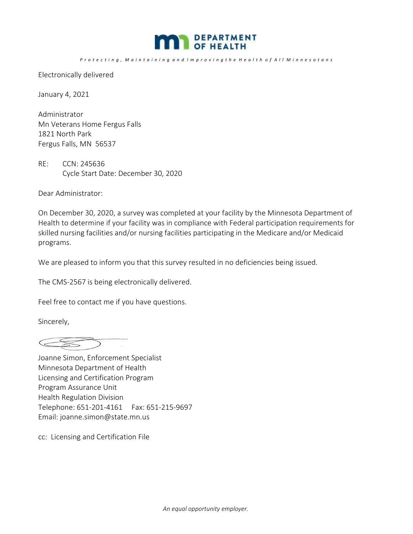

Protecting, Maintaining and Improving the Health of All Minnesotans

Electronically delivered

January 4, 2021

Administrator Mn Veterans Home Fergus Falls 1821 North Park Fergus Falls, MN 56537

RE: CCN: 245636 Cycle Start Date: December 30, 2020

Dear Administrator:

On December 30, 2020, a survey was completed at your facility by the Minnesota Department of Health to determine if your facility was in compliance with Federal participation requirements for skilled nursing facilities and/or nursing facilities participating in the Medicare and/or Medicaid programs.

We are pleased to inform you that this survey resulted in no deficiencies being issued.

The CMS‐2567 is being electronically delivered.

Feel free to contact me if you have questions.

Sincerely,

 $\begin{picture}(120,20) \put(0,0){\line(1,0){10}} \put(15,0){\line(1,0){10}} \put(15,0){\line(1,0){10}} \put(15,0){\line(1,0){10}} \put(15,0){\line(1,0){10}} \put(15,0){\line(1,0){10}} \put(15,0){\line(1,0){10}} \put(15,0){\line(1,0){10}} \put(15,0){\line(1,0){10}} \put(15,0){\line(1,0){10}} \put(15,0){\line(1,0){10}} \put(15,0){\line($ 

Joanne Simon, Enforcement Specialist Minnesota Department of Health Licensing and Certification Program Program Assurance Unit Health Regulation Division Telephone: 651‐201‐4161 Fax: 651‐215‐9697 Email: joanne.simon@state.mn.us

cc: Licensing and Certification File